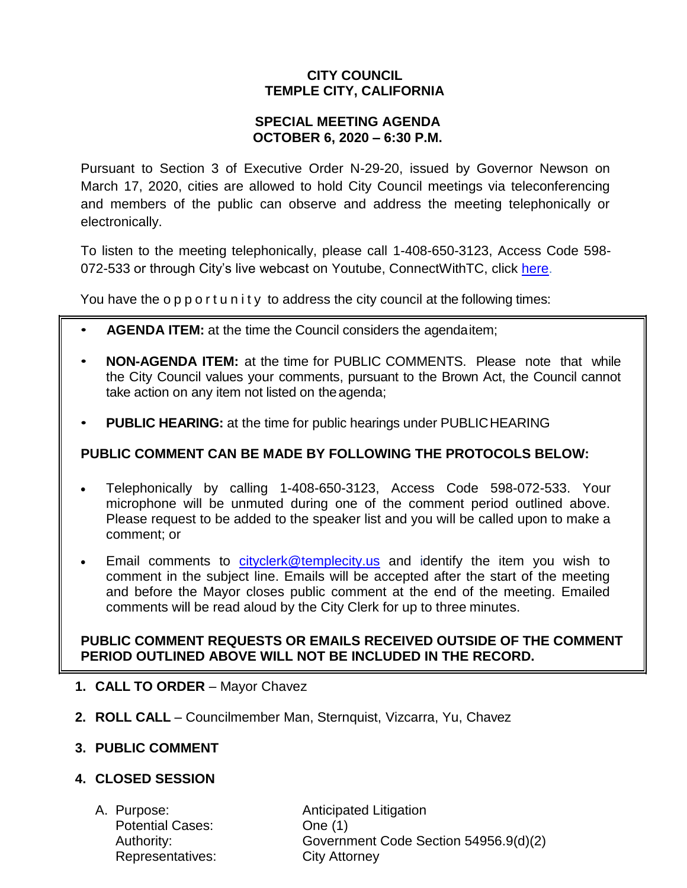# **CITY COUNCIL TEMPLE CITY, CALIFORNIA**

## **SPECIAL MEETING AGENDA OCTOBER 6, 2020 – 6:30 P.M.**

Pursuant to Section 3 of Executive Order N-29-20, issued by Governor Newson on March 17, 2020, cities are allowed to hold City Council meetings via teleconferencing and members of the public can observe and address the meeting telephonically or electronically.

To listen to the meeting telephonically, please call 1-408-650-3123, Access Code 598 072-533 or through City's live webcast on Youtube, ConnectWithTC, click [here.](https://www.ci.temple-city.ca.us/516/Meeting-Webcast)

You have the opportunity to address the city council at the following times:

- **AGENDA ITEM:** at the time the Council considers the agendaitem;
- **NON-AGENDA ITEM:** at the time for PUBLIC COMMENTS. Please note that while the City Council values your comments, pursuant to the Brown Act, the Council cannot take action on any item not listed on the agenda;
- **PUBLIC HEARING:** at the time for public hearings under PUBLICHEARING

## **PUBLIC COMMENT CAN BE MADE BY FOLLOWING THE PROTOCOLS BELOW:**

- Telephonically by calling 1-408-650-3123, Access Code 598-072-533. Your microphone will be unmuted during one of the comment period outlined above. Please request to be added to the speaker list and you will be called upon to make a comment; or
- Email comments to [cityclerk@templecity.us](mailto:cityclerk@templecity.us) and identify the item you wish to comment in the subject line. Emails will be accepted after the start of the meeting and before the Mayor closes public comment at the end of the meeting. Emailed comments will be read aloud by the City Clerk for up to three minutes.

## **PUBLIC COMMENT REQUESTS OR EMAILS RECEIVED OUTSIDE OF THE COMMENT PERIOD OUTLINED ABOVE WILL NOT BE INCLUDED IN THE RECORD.**

- **1. CALL TO ORDER**  Mayor Chavez
- **2. ROLL CALL**  Councilmember Man, Sternquist, Vizcarra, Yu, Chavez

## **3. PUBLIC COMMENT**

## **4. CLOSED SESSION**

Potential Cases: One (1) Representatives: City Attorney

A. Purpose: **Anticipated Litigation** Authority: Government Code Section 54956.9(d)(2)